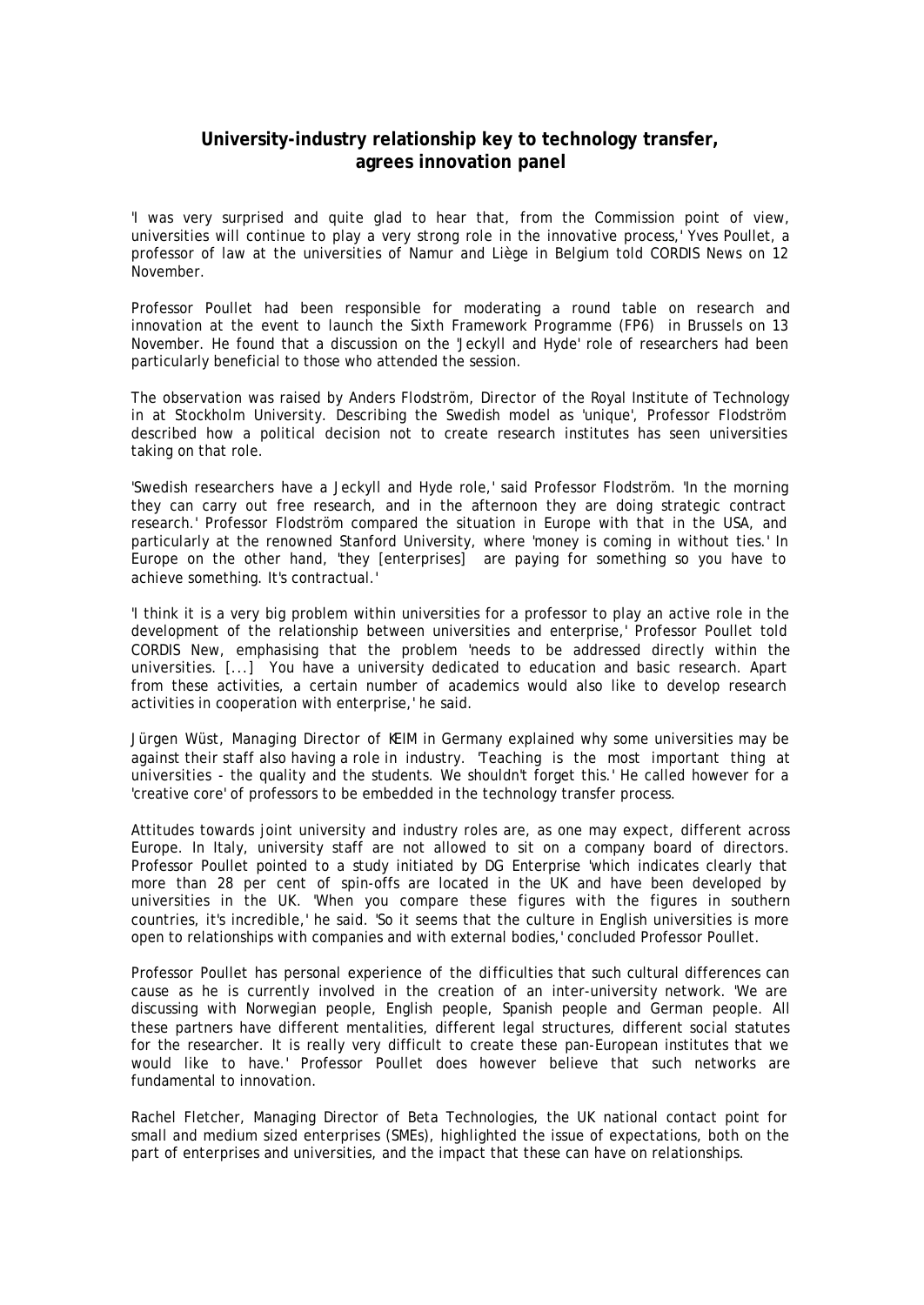## **University-industry relationship key to technology transfer, agrees innovation panel**

'I was very surprised and quite glad to hear that, from the Commission point of view, universities will continue to play a very strong role in the innovative process,' Yves Poullet, a professor of law at the universities of Namur and Liège in Belgium told CORDIS News on 12 November.

Professor Poullet had been responsible for moderating a round table on research and innovation at the event to launch the Sixth Framework Programme (FP6) in Brussels on 13 November. He found that a discussion on the 'Jeckyll and Hyde' role of researchers had been particularly beneficial to those who attended the session.

The observation was raised by Anders Flodström, Director of the Royal Institute of Technology in at Stockholm University. Describing the Swedish model as 'unique', Professor Flodström described how a political decision not to create research institutes has seen universities taking on that role.

'Swedish researchers have a Jeckyll and Hyde role,' said Professor Flodström. 'In the morning they can carry out free research, and in the afternoon they are doing strategic contract research.' Professor Flodström compared the situation in Europe with that in the USA, and particularly at the renowned Stanford University, where 'money is coming in without ties.' In Europe on the other hand, 'they [enterprises] are paying for something so you have to achieve something. It's contractual.'

'I think it is a very big problem within universities for a professor to play an active role in the development of the relationship between universities and enterprise,' Professor Poullet told CORDIS New, emphasising that the problem 'needs to be addressed directly within the universities. [...] You have a university dedicated to education and basic research. Apart from these activities, a certain number of academics would also like to develop research activities in cooperation with enterprise,' he said.

Jürgen Wüst, Managing Director of KEIM in Germany explained why some universities may be against their staff also having a role in industry. 'Teaching is the most important thing at universities - the quality and the students. We shouldn't forget this.' He called however for a 'creative core' of professors to be embedded in the technology transfer process.

Attitudes towards joint university and industry roles are, as one may expect, different across Europe. In Italy, university staff are not allowed to sit on a company board of directors. Professor Poullet pointed to a study initiated by DG Enterprise 'which indicates clearly that more than 28 per cent of spin-offs are located in the UK and have been developed by universities in the UK. 'When you compare these figures with the figures in southern countries, it's incredible,' he said. 'So it seems that the culture in English universities is more open to relationships with companies and with external bodies,' concluded Professor Poullet.

Professor Poullet has personal experience of the difficulties that such cultural differences can cause as he is currently involved in the creation of an inter-university network. 'We are discussing with Norwegian people, English people, Spanish people and German people. All these partners have different mentalities, different legal structures, different social statutes for the researcher. It is really very difficult to create these pan-European institutes that we would like to have.' Professor Poullet does however believe that such networks are fundamental to innovation.

Rachel Fletcher, Managing Director of Beta Technologies, the UK national contact point for small and medium sized enterprises (SMEs), highlighted the issue of expectations, both on the part of enterprises and universities, and the impact that these can have on relationships.